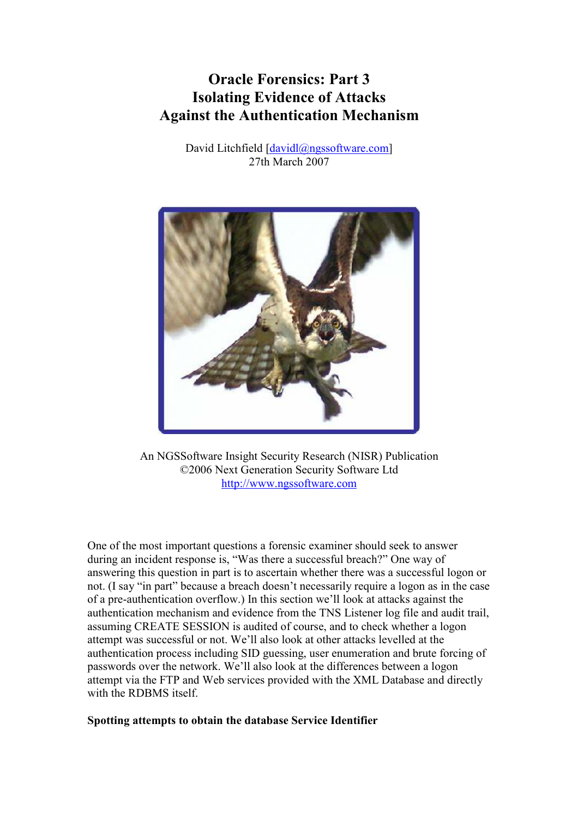# Oracle Forensics: Part 3 Isolating Evidence of Attacks Against the Authentication Mechanism

David Litchfield [davidl@ngssoftware.com] 27th March 2007



An NGSSoftware Insight Security Research (NISR) Publication ©2006 Next Generation Security Software Ltd http://www.ngssoftware.com

One of the most important questions a forensic examiner should seek to answer during an incident response is, "Was there a successful breach?" One way of answering this question in part is to ascertain whether there was a successful logon or not. (I say "in part" because a breach doesn't necessarily require a logon as in the case of a pre-authentication overflow.) In this section we'll look at attacks against the authentication mechanism and evidence from the TNS Listener log file and audit trail, assuming CREATE SESSION is audited of course, and to check whether a logon attempt was successful or not. We'll also look at other attacks levelled at the authentication process including SID guessing, user enumeration and brute forcing of passwords over the network. We'll also look at the differences between a logon attempt via the FTP and Web services provided with the XML Database and directly with the RDBMS itself.

# Spotting attempts to obtain the database Service Identifier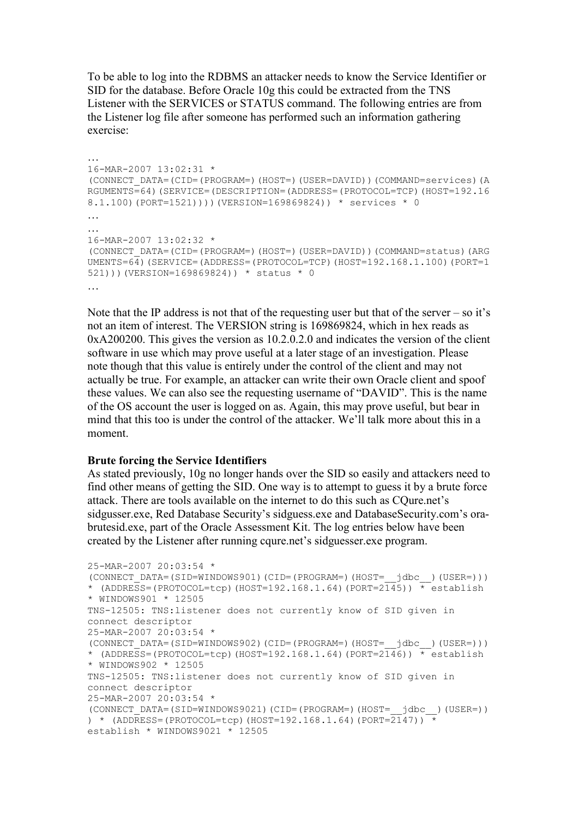To be able to log into the RDBMS an attacker needs to know the Service Identifier or SID for the database. Before Oracle 10g this could be extracted from the TNS Listener with the SERVICES or STATUS command. The following entries are from the Listener log file after someone has performed such an information gathering exercise:

```
… 
16-MAR-2007 13:02:31 * 
(CONNECT_DATA=(CID=(PROGRAM=)(HOST=)(USER=DAVID))(COMMAND=services)(A
RGUMENTS=64)(SERVICE=(DESCRIPTION=(ADDRESS=(PROTOCOL=TCP)(HOST=192.16
8.1.100)(PORT=1521))))(VERSION=169869824)) * services * 0 
… 
… 
16-MAR-2007 13:02:32 * 
(CONNECT_DATA=(CID=(PROGRAM=)(HOST=)(USER=DAVID))(COMMAND=status)(ARG
UMENTS=64)(SERVICE=(ADDRESS=(PROTOCOL=TCP)(HOST=192.168.1.100)(PORT=1
521)))(VERSION=169869824)) * status * 0 
…
```
Note that the IP address is not that of the requesting user but that of the server – so it's not an item of interest. The VERSION string is 169869824, which in hex reads as 0xA200200. This gives the version as 10.2.0.2.0 and indicates the version of the client software in use which may prove useful at a later stage of an investigation. Please note though that this value is entirely under the control of the client and may not actually be true. For example, an attacker can write their own Oracle client and spoof these values. We can also see the requesting username of "DAVID". This is the name of the OS account the user is logged on as. Again, this may prove useful, but bear in mind that this too is under the control of the attacker. We'll talk more about this in a moment.

# Brute forcing the Service Identifiers

As stated previously, 10g no longer hands over the SID so easily and attackers need to find other means of getting the SID. One way is to attempt to guess it by a brute force attack. There are tools available on the internet to do this such as CQure.net's sidgusser.exe, Red Database Security's sidguess.exe and DatabaseSecurity.com's orabrutesid.exe, part of the Oracle Assessment Kit. The log entries below have been created by the Listener after running cqure.net's sidguesser.exe program.

```
25-MAR-2007 20:03:54 * 
(CONNECT_DATA=(SID=WINDOWS901)(CID=(PROGRAM=)(HOST=__jdbc__)(USER=))) 
* (ADDRESS=(PROTOCOL=tcp)(HOST=192.168.1.64)(PORT=2145)) * establish
* WINDOWS901 * 12505 
TNS-12505: TNS:listener does not currently know of SID given in 
connect descriptor 
25-MAR-2007 20:03:54 * 
(CONNECT_DATA=(SID=WINDOWS902)(CID=(PROGRAM=)(HOST=__jdbc__)(USER=))) 
* (ADDRESS=(PROTOCOL=tcp)(HOST=192.168.1.64)(PORT=2\overline{146})) * establish
* WINDOWS902 * 12505 
TNS-12505: TNS:listener does not currently know of SID given in 
connect descriptor 
25-MAR-2007 20:03:54 * 
(CONNECT_DATA=(SID=WINDOWS9021)(CID=(PROGRAM=)(HOST=__jdbc__)(USER=))
) * (ADDRESS=(PROTOCOL=tcp)(HOST=192.168.1.64)(PORT=2147))
establish * WINDOWS9021 * 12505
```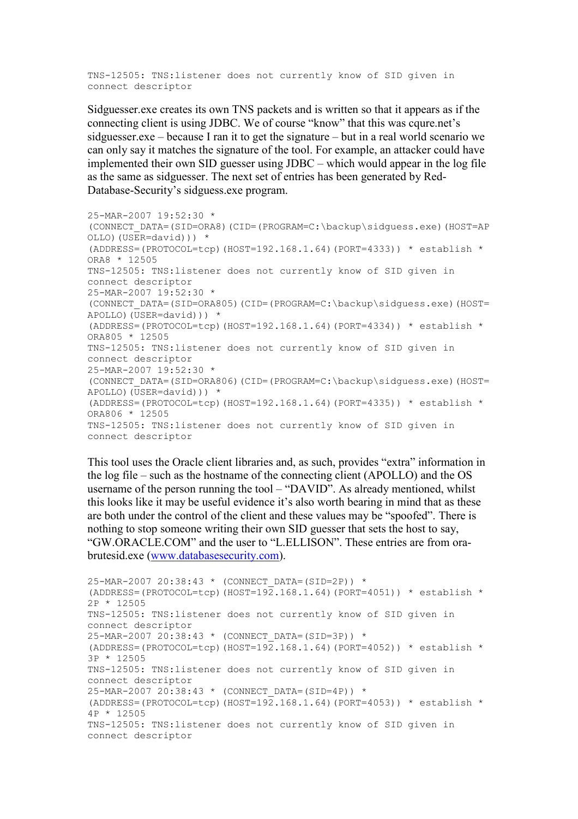TNS-12505: TNS:listener does not currently know of SID given in connect descriptor

Sidguesser.exe creates its own TNS packets and is written so that it appears as if the connecting client is using JDBC. We of course "know" that this was cqure.net's sidguesser.exe – because I ran it to get the signature – but in a real world scenario we can only say it matches the signature of the tool. For example, an attacker could have implemented their own SID guesser using JDBC – which would appear in the log file as the same as sidguesser. The next set of entries has been generated by Red-Database-Security's sidguess.exe program.

```
25-MAR-2007 19:52:30 * 
(CONNECT_DATA=(SID=ORA8)(CID=(PROGRAM=C:\backup\sidguess.exe)(HOST=AP
OLLO)(USER=david))) *(ADDRESS=(PROTOCOL=tcp)(HOST=192.168.1.64)(PORT=4333)) * establish *
ORA8 * 12505 
TNS-12505: TNS:listener does not currently know of SID given in 
connect descriptor 
25-MAR-2007 19:52:30 * 
(CONNECT_DATA=(SID=ORA805)(CID=(PROGRAM=C:\backup\sidguess.exe)(HOST=
APOLLO) (USER=david))) *
(ADDRESS = (PROTOCOL = tcp) (HOST = 192.168.1.64) (PORT = 4334)) * establish *ORA805 * 12505 
TNS-12505: TNS:listener does not currently know of SID given in 
connect descriptor 
25-MAR-2007 19:52:30 * 
(CONNECT_DATA=(SID=ORA806)(CID=(PROGRAM=C:\backup\sidguess.exe)(HOST=
APOLLO)(USER=david))) * 
(ADDRESS=(PROTOCOL=tcp) (HOST=192.168.1.64) (PORT=4335)) * establish *ORA806 * 12505 
TNS-12505: TNS:listener does not currently know of SID given in 
connect descriptor
```
This tool uses the Oracle client libraries and, as such, provides "extra" information in the log file – such as the hostname of the connecting client (APOLLO) and the OS username of the person running the tool – "DAVID". As already mentioned, whilst this looks like it may be useful evidence it's also worth bearing in mind that as these are both under the control of the client and these values may be "spoofed". There is nothing to stop someone writing their own SID guesser that sets the host to say, "GW.ORACLE.COM" and the user to "L.ELLISON". These entries are from orabrutesid.exe (www.databasesecurity.com).

```
25-MAR-2007 20:38:43 * (CONNECT_DATA=(SID=2P)) * 
(ADDRESS = (PROTOCOL = tcp) (HOST = 192.168.1.64) (PORT = 4051)) * establish *2P * 12505 
TNS-12505: TNS:listener does not currently know of SID given in 
connect descriptor 
25-MAR-2007 20:38:43 * (CONNECT_DATA=(SID=3P)) * 
(ADDRESS = (PROTOCOL = \text{tcp}) (HOST = 192.168.1.64) (PORT = 4052)) * establish *3P * 12505 
TNS-12505: TNS:listener does not currently know of SID given in 
connect descriptor 
25-MAR-2007 20:38:43 * (CONNECT_DATA=(SID=4P)) * 
(ADDRESS=(PROTOCOL=tcp)(HOST=192.168.1.64)(PORT=4053)) * establish *
4P * 12505TNS-12505: TNS:listener does not currently know of SID given in 
connect descriptor
```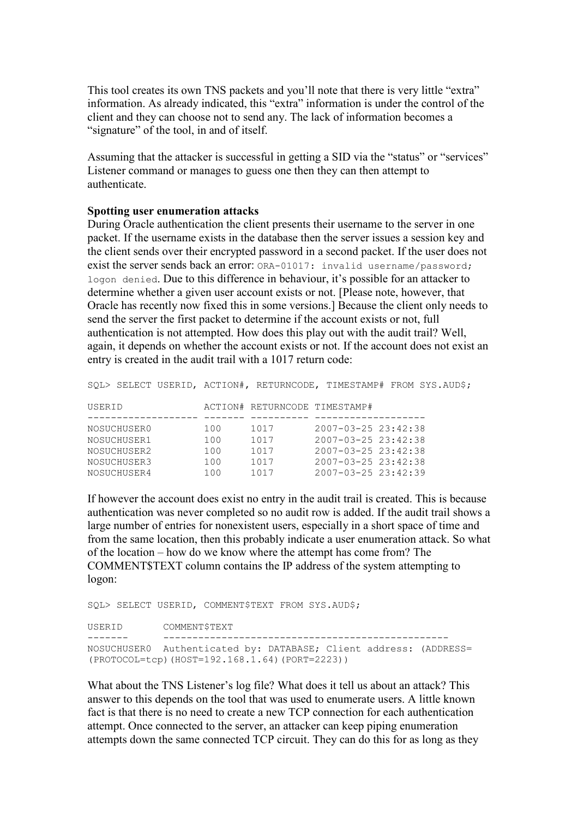This tool creates its own TNS packets and you'll note that there is very little "extra" information. As already indicated, this "extra" information is under the control of the client and they can choose not to send any. The lack of information becomes a "signature" of the tool, in and of itself.

Assuming that the attacker is successful in getting a SID via the "status" or "services" Listener command or manages to guess one then they can then attempt to authenticate.

## Spotting user enumeration attacks

During Oracle authentication the client presents their username to the server in one packet. If the username exists in the database then the server issues a session key and the client sends over their encrypted password in a second packet. If the user does not exist the server sends back an error: ORA-01017: invalid username/password; logon denied. Due to this difference in behaviour, it's possible for an attacker to determine whether a given user account exists or not. [Please note, however, that Oracle has recently now fixed this in some versions.] Because the client only needs to send the server the first packet to determine if the account exists or not, full authentication is not attempted. How does this play out with the audit trail? Well, again, it depends on whether the account exists or not. If the account does not exist an entry is created in the audit trail with a 1017 return code:

SQL> SELECT USERID, ACTION#, RETURNCODE, TIMESTAMP# FROM SYS.AUD\$; USERID ACTION# RETURNCODE TIMESTAMP# ------------------- ------- ---------- ------------------- NOSUCHUSER0 100 1017 2007-03-25 23:42:38 NOSUCHUSER1 100 1017 2007-03-25 23:42:38 NOSUCHUSER2 100 1017 2007-03-25 23:42:38 NOSUCHUSER3 100 1017 2007-03-25 23:42:38 NOSUCHUSER4 100 1017 2007-03-25 23:42:39

If however the account does exist no entry in the audit trail is created. This is because authentication was never completed so no audit row is added. If the audit trail shows a large number of entries for nonexistent users, especially in a short space of time and from the same location, then this probably indicate a user enumeration attack. So what of the location – how do we know where the attempt has come from? The COMMENT\$TEXT column contains the IP address of the system attempting to logon:

SQL> SELECT USERID, COMMENT\$TEXT FROM SYS.AUD\$;

USERID COMMENT\$TEXT ------- ------------------------------------------------- NOSUCHUSER0 Authenticated by: DATABASE; Client address: (ADDRESS= (PROTOCOL=tcp)(HOST=192.168.1.64)(PORT=2223))

What about the TNS Listener's log file? What does it tell us about an attack? This answer to this depends on the tool that was used to enumerate users. A little known fact is that there is no need to create a new TCP connection for each authentication attempt. Once connected to the server, an attacker can keep piping enumeration attempts down the same connected TCP circuit. They can do this for as long as they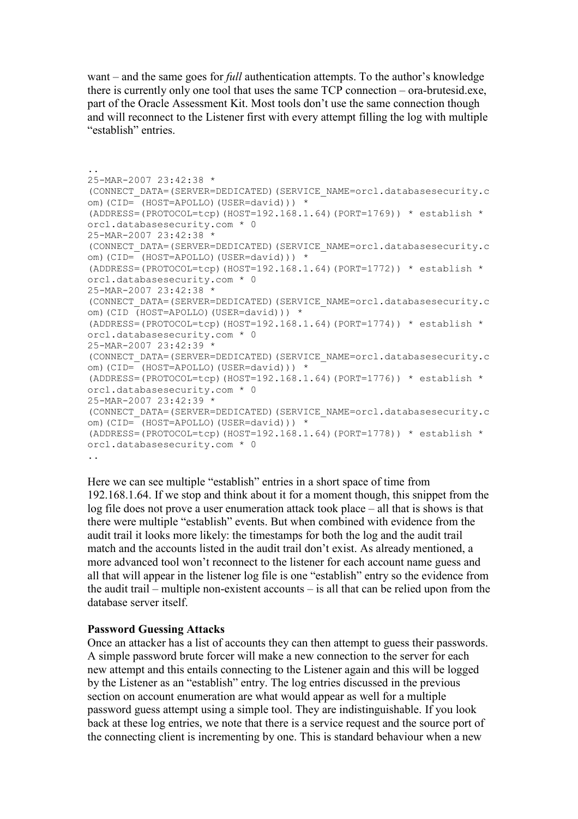want – and the same goes for full authentication attempts. To the author's knowledge there is currently only one tool that uses the same TCP connection – ora-brutesid.exe, part of the Oracle Assessment Kit. Most tools don't use the same connection though and will reconnect to the Listener first with every attempt filling the log with multiple "establish" entries.

```
.. 
25-MAR-2007 23:42:38 * 
(CONNECT_DATA=(SERVER=DEDICATED)(SERVICE_NAME=orcl.databasesecurity.c
om)(CID= (HOST=APOLLO)(USER=david))) * 
(ADDRESS=(PROTOCOL=tcp)(HOST=192.168.1.64)(PORT=1769)) * establish *
orcl.databasesecurity.com * 0 
25-MAR-2007 23:42:38 * 
(CONNECT_DATA=(SERVER=DEDICATED)(SERVICE_NAME=orcl.databasesecurity.c
om)(CID= (HOST=APOLLO)(USER=david))) * 
(ADDRESS = (PROTOCOL = tcp) (HOST = 192.168.1.64) (PORT = 1772)) * establish *
orcl.databasesecurity.com * 0 
25-MAR-2007 23:42:38 * 
(CONNECT_DATA=(SERVER=DEDICATED)(SERVICE_NAME=orcl.databasesecurity.c
om)(CID (HOST=APOLLO)(USER=david))) *
(ADDRESS = (PROTOCOL = \text{top}) (HOST = 192.168.1.64) (PORT = 1774)) * establish *orcl.databasesecurity.com * 0 
25-MAR-2007 23:42:39 * 
(CONNECT_DATA=(SERVER=DEDICATED)(SERVICE_NAME=orcl.databasesecurity.c
om)(CID= (HOST=APOLLO)(USER=david))) *
(ADDRESS = (PROTOCOL = \text{tcp}) (HOST = 192.168.1.64) (PORT = 1776) * establish *
orcl.databasesecurity.com * 0 
25-MAR-2007 23:42:39 * 
(CONNECT_DATA=(SERVER=DEDICATED)(SERVICE_NAME=orcl.databasesecurity.c
om)(CID= (HOST=APOLLO)(USER=david))) * 
(ADDRESS = (PROTOCOL = \text{tcp}) (HOST = 192.168.1.64) (PORT = 1778)) * establish *orcl.databasesecurity.com * 0 
..
```
Here we can see multiple "establish" entries in a short space of time from 192.168.1.64. If we stop and think about it for a moment though, this snippet from the log file does not prove a user enumeration attack took place – all that is shows is that there were multiple "establish" events. But when combined with evidence from the audit trail it looks more likely: the timestamps for both the log and the audit trail match and the accounts listed in the audit trail don't exist. As already mentioned, a more advanced tool won't reconnect to the listener for each account name guess and all that will appear in the listener log file is one "establish" entry so the evidence from the audit trail – multiple non-existent accounts – is all that can be relied upon from the database server itself.

#### Password Guessing Attacks

Once an attacker has a list of accounts they can then attempt to guess their passwords. A simple password brute forcer will make a new connection to the server for each new attempt and this entails connecting to the Listener again and this will be logged by the Listener as an "establish" entry. The log entries discussed in the previous section on account enumeration are what would appear as well for a multiple password guess attempt using a simple tool. They are indistinguishable. If you look back at these log entries, we note that there is a service request and the source port of the connecting client is incrementing by one. This is standard behaviour when a new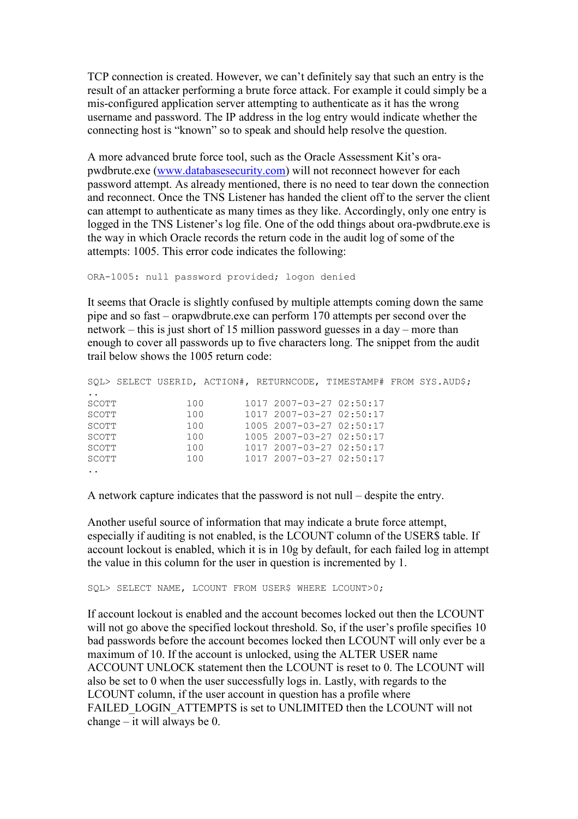TCP connection is created. However, we can't definitely say that such an entry is the result of an attacker performing a brute force attack. For example it could simply be a mis-configured application server attempting to authenticate as it has the wrong username and password. The IP address in the log entry would indicate whether the connecting host is "known" so to speak and should help resolve the question.

A more advanced brute force tool, such as the Oracle Assessment Kit's orapwdbrute.exe (www.databasesecurity.com) will not reconnect however for each password attempt. As already mentioned, there is no need to tear down the connection and reconnect. Once the TNS Listener has handed the client off to the server the client can attempt to authenticate as many times as they like. Accordingly, only one entry is logged in the TNS Listener's log file. One of the odd things about ora-pwdbrute.exe is the way in which Oracle records the return code in the audit log of some of the attempts: 1005. This error code indicates the following:

ORA-1005: null password provided; logon denied

It seems that Oracle is slightly confused by multiple attempts coming down the same pipe and so fast – orapwdbrute.exe can perform 170 attempts per second over the network – this is just short of 15 million password guesses in a day – more than enough to cover all passwords up to five characters long. The snippet from the audit trail below shows the 1005 return code:

|                 | SQL> SELECT USERID, ACTION#, RETURNCODE, TIMESTAMP# FROM SYS.AUD\$; |  |                              |  |  |
|-----------------|---------------------------------------------------------------------|--|------------------------------|--|--|
| $\cdot$ $\cdot$ |                                                                     |  |                              |  |  |
| SCOTT           | 100                                                                 |  | $10172007 - 03 - 2702:50:17$ |  |  |
| SCOTT           | 100                                                                 |  | $10172007 - 03 - 2702:50:17$ |  |  |
| SCOTT           | 100                                                                 |  | $1005$ 2007-03-27 02:50:17   |  |  |
| SCOTT           | 100                                                                 |  | $1005$ 2007-03-27 02:50:17   |  |  |
| SCOTT           | 100                                                                 |  | $10172007 - 03 - 2702:50:17$ |  |  |
| SCOTT           | 100                                                                 |  | $10172007 - 03 - 2702:50:17$ |  |  |
| $\sim$ $\sim$   |                                                                     |  |                              |  |  |

A network capture indicates that the password is not null – despite the entry.

Another useful source of information that may indicate a brute force attempt, especially if auditing is not enabled, is the LCOUNT column of the USER\$ table. If account lockout is enabled, which it is in 10g by default, for each failed log in attempt the value in this column for the user in question is incremented by 1.

SQL> SELECT NAME, LCOUNT FROM USER\$ WHERE LCOUNT>0;

If account lockout is enabled and the account becomes locked out then the LCOUNT will not go above the specified lockout threshold. So, if the user's profile specifies 10 bad passwords before the account becomes locked then LCOUNT will only ever be a maximum of 10. If the account is unlocked, using the ALTER USER name ACCOUNT UNLOCK statement then the LCOUNT is reset to 0. The LCOUNT will also be set to 0 when the user successfully logs in. Lastly, with regards to the LCOUNT column, if the user account in question has a profile where FAILED\_LOGIN\_ATTEMPTS is set to UNLIMITED then the LCOUNT will not change  $-\overline{\text{it}}$  will always be 0.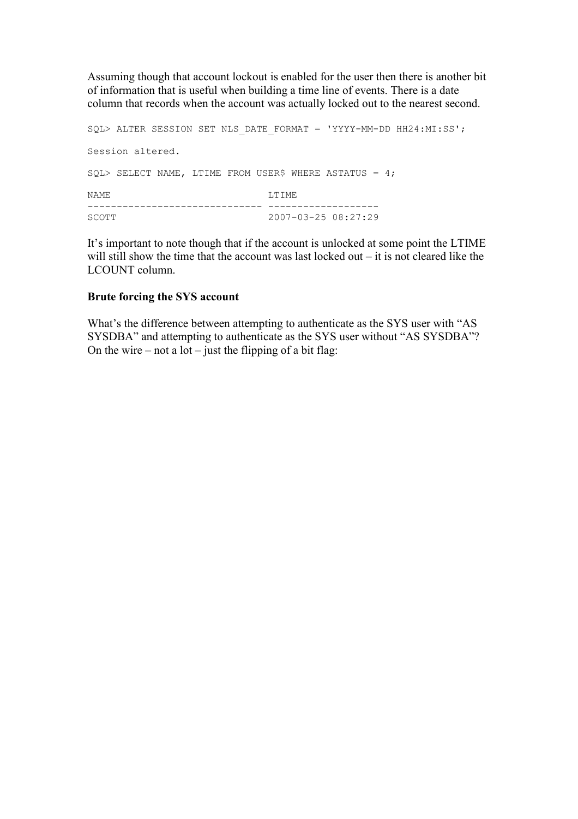Assuming though that account lockout is enabled for the user then there is another bit of information that is useful when building a time line of events. There is a date column that records when the account was actually locked out to the nearest second.

```
SQL> ALTER SESSION SET NLS_DATE_FORMAT = 'YYYY-MM-DD HH24:MI:SS'; 
Session altered. 
SQL> SELECT NAME, LTIME FROM USER$ WHERE ASTATUS = 4;
NAME LTIME
------------------------------ ------------------- 
                           2007-03-25 08:27:29
```
It's important to note though that if the account is unlocked at some point the LTIME will still show the time that the account was last locked out – it is not cleared like the LCOUNT column.

# Brute forcing the SYS account

What's the difference between attempting to authenticate as the SYS user with "AS SYSDBA" and attempting to authenticate as the SYS user without "AS SYSDBA"? On the wire – not a  $lot$  – just the flipping of a bit flag: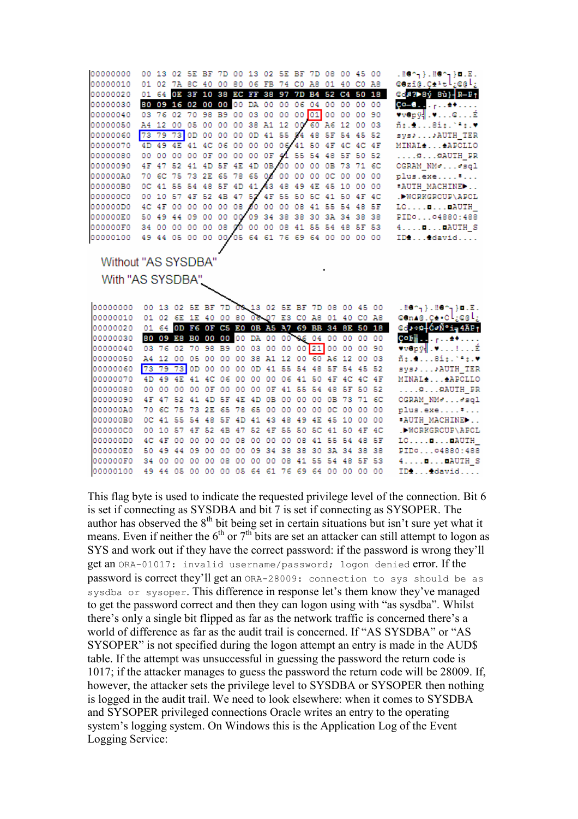| 00000000 |  | 00 13 02 5E BF 7D 00 13 02 5E BF 7D 08 00 45 00 |  |  |  |  |  |  |                                                 | $.00\%$ ). $.00\%$ ) o. E.                                            |
|----------|--|-------------------------------------------------|--|--|--|--|--|--|-------------------------------------------------|-----------------------------------------------------------------------|
| 00000010 |  | 01 02 7A 8C 40 00 80 06 FB 74 C0 A8 01 40 C0 A8 |  |  |  |  |  |  |                                                 | ©ezî@iÇ∌≅tig@li                                                       |
| 00000020 |  |                                                 |  |  |  |  |  |  | 01 64 OE 3F 10 38 EC FF 38 97 7D B4 52 C4 50 18 | @@B2>8ý 8ù} R-Pt                                                      |
| 00000030 |  | 80 09 16 02 00 00 00 DA 00 00 06 04 00 00 00 00 |  |  |  |  |  |  |                                                 | $Q_0 = 0, \ldots, \ldots, 4$                                          |
| 00000040 |  | 03 76 02 70 98 B9 00 03 00 00 00 01 00 00 00 90 |  |  |  |  |  |  |                                                 | $\mathbf{v}$ vepÿ $\ .\mathbf{v} \dots \mathbf{c} \dots \mathbf{E}$   |
| 00000050 |  | A4 12 00 05 00 00 00 38 A1 12 00 60 A6 12 00 03 |  |  |  |  |  |  |                                                 | $\tilde{\texttt{m}}$ : $\blacksquare$ $\texttt{Bif.}$ $\texttt{Nif.}$ |
| 00000060 |  | 73 79 73 0D 00 00 00 0D 41 55 94 48 5F 54 45 52 |  |  |  |  |  |  |                                                 | svs))AUTH TER                                                         |
| 00000070 |  | 4D 49 4E 41 4C 06 00 00 00 06/41 50 4F 4C 4C 4F |  |  |  |  |  |  |                                                 | MINAL4 AAPOLLO                                                        |
| 00000080 |  | 00 00 00 00 0F 00 00 00 0F 41 55 54 48 5F 50 52 |  |  |  |  |  |  |                                                 | $\ldots$ $\ldots$ $\ldots$ $\ldots$                                   |
| 00000090 |  | 4F 47 52 41 4D 5F 4E 4D 0B 00 00 00 0B 73 71 6C |  |  |  |  |  |  |                                                 | CGRAM NMddsql                                                         |
| 000000A0 |  | 70 6C 75 73 2E 65 78 65 00 00 00 00 0C 00 00 00 |  |  |  |  |  |  |                                                 | plus.exe#                                                             |
| 000000B0 |  | OC 41 55 54 48 5F 4D 41 43 48 49 4E 45 10 00 00 |  |  |  |  |  |  |                                                 | *AUTH MACHINE                                                         |
| 000000C0 |  | 00 10 57 4F 52 4B 47 52 4F 55 50 5C 41 50 4F 4C |  |  |  |  |  |  |                                                 | .DWORKGROUP\APOL                                                      |
| 000000D0 |  | 4C 4F 00 00 00 00 08 00 00 00 08 41 55 54 48 5F |  |  |  |  |  |  |                                                 | $LO, \ldots, B, \ldots$ DAUTH                                         |
| 000000E0 |  | 50 49 44 09 00 00 00 09 34 38 38 30 3A 34 38 38 |  |  |  |  |  |  |                                                 | PIDO04880:488                                                         |
| 000000F0 |  | 34 00 00 00 00 08 00 00 00 08 41 55 54 48 5F 53 |  |  |  |  |  |  |                                                 | $4 \ldots 1$ DAUTH S                                                  |
| 00000100 |  | 49 44 05 00 00 00 05 64 61 76 69 64 00 00 00 00 |  |  |  |  |  |  |                                                 | ID44david                                                             |

Without "AS SYSDBA

With "AS SYSDBA"

| 00000000 | 00 13 02 5E BF 7D 08 13 02 5E BF 7D 08 00 45 00 |       |          |            |    |                 |  |  |                                                 |    |      |                                                 | $.00\gamma$ }.00 $\gamma$ }e.E.                                                                                                                                                                                                                                                                                                                                                        |
|----------|-------------------------------------------------|-------|----------|------------|----|-----------------|--|--|-------------------------------------------------|----|------|-------------------------------------------------|----------------------------------------------------------------------------------------------------------------------------------------------------------------------------------------------------------------------------------------------------------------------------------------------------------------------------------------------------------------------------------------|
| 00000010 |                                                 |       |          |            |    |                 |  |  | 01 02 6E 1E 40 00 80 08 07 E3 C0 A8 01 40 C0 A8 |    |      |                                                 | cen∧@ic≙•ol;c@l;                                                                                                                                                                                                                                                                                                                                                                       |
| 00000020 |                                                 |       |          |            |    |                 |  |  |                                                 |    |      | 01 64 OD F6 OF C5 E0 OB A5 A7 69 BB 34 BE 50 18 | ⊕e)÷¤ Ó⊲Ѱi al 4ÄP†                                                                                                                                                                                                                                                                                                                                                                     |
| 00000030 |                                                 |       |          |            |    |                 |  |  | 80 09 E8 B0 00 00 00 DA 00 00 86 04 00 00 00 00 |    |      |                                                 | $\overline{Q}$ O $\overline{P}$ $\overline{B}$ $\overline{S}$ $\overline{S}$ $\overline{S}$ $\overline{S}$ $\overline{S}$ $\overline{S}$ $\overline{S}$ $\overline{S}$ $\overline{S}$ $\overline{S}$ $\overline{S}$ $\overline{S}$ $\overline{S}$ $\overline{S}$ $\overline{S}$ $\overline{S}$ $\overline{S}$ $\overline{S}$ $\overline{S}$ $\overline{S}$ $\overline{S}$ $\overline{$ |
| 00000040 |                                                 |       |          |            |    |                 |  |  | 03 76 02 70 98 B9 00 03 00 00 00 21 00 00 00 90 |    |      |                                                 | vvepý   .v!É                                                                                                                                                                                                                                                                                                                                                                           |
| 00000050 |                                                 |       |          |            |    |                 |  |  | A4 12 00 05 00 00 00 38 A1 12 00 60 A6 12 00 03 |    |      |                                                 | $\tilde{\texttt{m}}$ : $\texttt{m}$ . $\texttt{m}$                                                                                                                                                                                                                                                                                                                                     |
| 00000060 | 73 79 73 0D 00 00 00 0D 41 55 54 48 5F 54 45 52 |       |          |            |    |                 |  |  |                                                 |    |      |                                                 | sys» AUTH TER                                                                                                                                                                                                                                                                                                                                                                          |
| 00000070 |                                                 |       |          |            |    |                 |  |  | 4D 49 4E 41 4C 06 00 00 00 06 41 50 4F 4C 4C 4F |    |      |                                                 | MINAL <sup>4</sup> 4APOLLO                                                                                                                                                                                                                                                                                                                                                             |
| 00000080 |                                                 |       |          |            |    |                 |  |  | 00 00 00 00 0F 00 00 00 0F 41 55 54 48 5F 50 52 |    |      |                                                 | $\ldots$ AAUTH PR                                                                                                                                                                                                                                                                                                                                                                      |
| 00000090 |                                                 |       |          |            |    |                 |  |  | 4F 47 52 41 4D 5F 4E 4D 0B 00 00 00 0B 73 71 6C |    |      |                                                 | OGRAM NMddsgl                                                                                                                                                                                                                                                                                                                                                                          |
| 000000A0 |                                                 |       |          |            |    |                 |  |  | 70 6C 75 73 2E 65 78 65 00 00 00 00 0C 00 00 00 |    |      |                                                 | plus.exe#                                                                                                                                                                                                                                                                                                                                                                              |
| 000000B0 |                                                 |       |          |            |    |                 |  |  | OC 41 55 54 48 5F 4D 41 43 48 49 4E 45 10 00 00 |    |      |                                                 | *AUTH MACHINED                                                                                                                                                                                                                                                                                                                                                                         |
| 000000C0 |                                                 |       |          |            |    |                 |  |  | 00 10 57 4F 52 4B 47 52 4F 55 50 5C 41 50 4F 4C |    |      |                                                 | .DWORKGROUP\APOL                                                                                                                                                                                                                                                                                                                                                                       |
| 00000000 |                                                 |       | 4C 4F 00 | $^{\circ}$ |    |                 |  |  | 00 00 08 00 00 00 08 41 55 54 48 5F             |    |      |                                                 | $LO$ $\square$ $\square$ $\triangle$                                                                                                                                                                                                                                                                                                                                                   |
| 000000E0 |                                                 |       |          |            |    |                 |  |  | 50 49 44 09 00 00 00 09 34 38 38 30 3A 34 38 38 |    |      |                                                 | PIDO04880:488                                                                                                                                                                                                                                                                                                                                                                          |
| 000000F0 |                                                 | 34 00 |          |            |    |                 |  |  | 00 00 00 08 00 00 00 08 41 55 54 48 5F 53       |    |      |                                                 | 4. AUTH S                                                                                                                                                                                                                                                                                                                                                                              |
| 00000100 |                                                 |       | 44 05    | 00         | 00 | 00 <sub>1</sub> |  |  | 05 64 61 76 69 64                               | 00 | - 00 | 0000                                            | ID:  david                                                                                                                                                                                                                                                                                                                                                                             |
|          |                                                 |       |          |            |    |                 |  |  |                                                 |    |      |                                                 |                                                                                                                                                                                                                                                                                                                                                                                        |

This flag byte is used to indicate the requested privilege level of the connection. Bit 6 is set if connecting as SYSDBA and bit 7 is set if connecting as SYSOPER. The author has observed the  $8<sup>th</sup>$  bit being set in certain situations but isn't sure yet what it means. Even if neither the  $6<sup>th</sup>$  or  $7<sup>th</sup>$  bits are set an attacker can still attempt to logon as SYS and work out if they have the correct password: if the password is wrong they'll get an ORA-01017: invalid username/password; logon denied error. If the password is correct they'll get an ORA-28009: connection to sys should be as sysdba or sysoper. This difference in response let's them know they've managed to get the password correct and then they can logon using with "as sysdba". Whilst there's only a single bit flipped as far as the network traffic is concerned there's a world of difference as far as the audit trail is concerned. If "AS SYSDBA" or "AS SYSOPER" is not specified during the logon attempt an entry is made in the AUD\$ table. If the attempt was unsuccessful in guessing the password the return code is 1017; if the attacker manages to guess the password the return code will be 28009. If, however, the attacker sets the privilege level to SYSDBA or SYSOPER then nothing is logged in the audit trail. We need to look elsewhere: when it comes to SYSDBA and SYSOPER privileged connections Oracle writes an entry to the operating system's logging system. On Windows this is the Application Log of the Event Logging Service: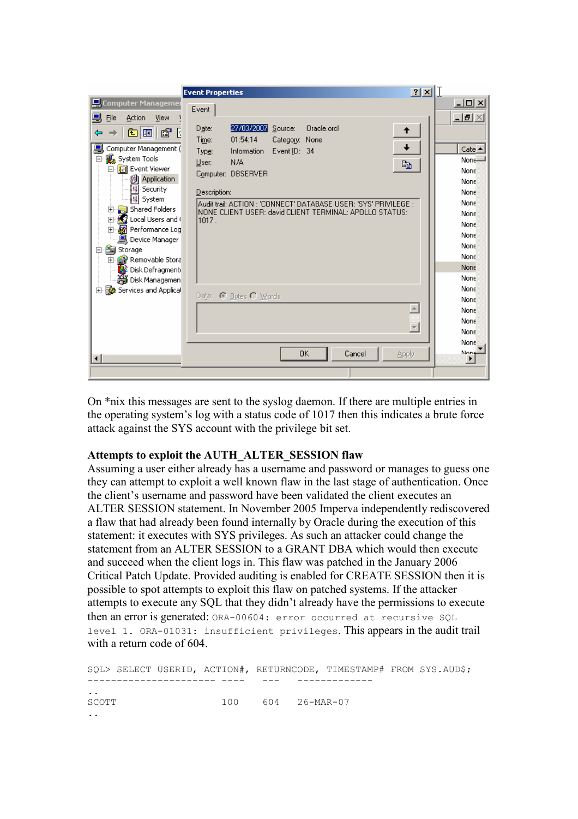|                                                  | 2 X <br><b>Event Properties</b>                                   |                                               |
|--------------------------------------------------|-------------------------------------------------------------------|-----------------------------------------------|
| <b>Computer Managemer</b>                        |                                                                   | $\overline{\mathbf{L}[\mathbf{u}]\mathbf{x}}$ |
| 므<br>File<br>Action<br>View                      | Event                                                             | $\Box$ el $\times$                            |
|                                                  | 27/03/2007 Source:<br>Oracle.orcl<br>Date:<br>↟                   |                                               |
| ♔<br>R<br>Ð<br>lo                                | 01:54:14<br>Time:<br>Category: None                               |                                               |
| Computer Management (                            | Event ID: 34<br>Information<br>Type:                              | Cate $\triangle$                              |
| 白. <b>1</b> System Tools                         | N/A<br>User:<br>昀                                                 | None-                                         |
| 白 图 Event Viewer                                 | Computer: DBSERVER                                                | None                                          |
| 鯯<br><b>Application</b>                          |                                                                   | None                                          |
| Security                                         | Description:                                                      | None                                          |
| System<br>Shared Folders<br>田                    | Audit trail: ACTION : 'CONNECT' DATABASE USER: 'SYS' PRIVILEGE :  | None                                          |
| $\mathbb{S}$ Local Users and (<br>$\overline{+}$ | INONE CLIENT USER: david CLIENT TERMINAL: APOLLO STATUS:<br>1017. | None                                          |
| Performance Log<br>F                             |                                                                   | None                                          |
| 鳳 Device Manager                                 |                                                                   | None                                          |
| 白色<br>Storage                                    |                                                                   | None                                          |
| 음 Removable Stora<br>中                           |                                                                   | None                                          |
| <mark>●</mark> Disk Defragment                   |                                                                   | None                                          |
| Disk Managemen                                   |                                                                   | None                                          |
| 由 图 Services and Applical                        | Data: C Bytes C Words                                             | None                                          |
|                                                  |                                                                   | None                                          |
|                                                  |                                                                   | None                                          |
|                                                  | $\overline{\phantom{a}}$                                          | None                                          |
|                                                  |                                                                   | None                                          |
|                                                  |                                                                   | None                                          |
| $\left  \cdot \right $                           | 0K<br>Cancel<br>Apply                                             | None                                          |
|                                                  |                                                                   |                                               |

On \*nix this messages are sent to the syslog daemon. If there are multiple entries in the operating system's log with a status code of 1017 then this indicates a brute force attack against the SYS account with the privilege bit set.

# Attempts to exploit the AUTH\_ALTER\_SESSION flaw

Assuming a user either already has a username and password or manages to guess one they can attempt to exploit a well known flaw in the last stage of authentication. Once the client's username and password have been validated the client executes an ALTER SESSION statement. In November 2005 Imperva independently rediscovered a flaw that had already been found internally by Oracle during the execution of this statement: it executes with SYS privileges. As such an attacker could change the statement from an ALTER SESSION to a GRANT DBA which would then execute and succeed when the client logs in. This flaw was patched in the January 2006 Critical Patch Update. Provided auditing is enabled for CREATE SESSION then it is possible to spot attempts to exploit this flaw on patched systems. If the attacker attempts to execute any SQL that they didn't already have the permissions to execute then an error is generated: ORA-00604: error occurred at recursive SQL level 1. ORA-01031: insufficient privileges. This appears in the audit trail with a return code of 604.

SQL> SELECT USERID, ACTION#, RETURNCODE, TIMESTAMP# FROM SYS.AUD\$; ---------------------- ---- --- ------------- .. SCOTT 100 604 26-MAR-07 ..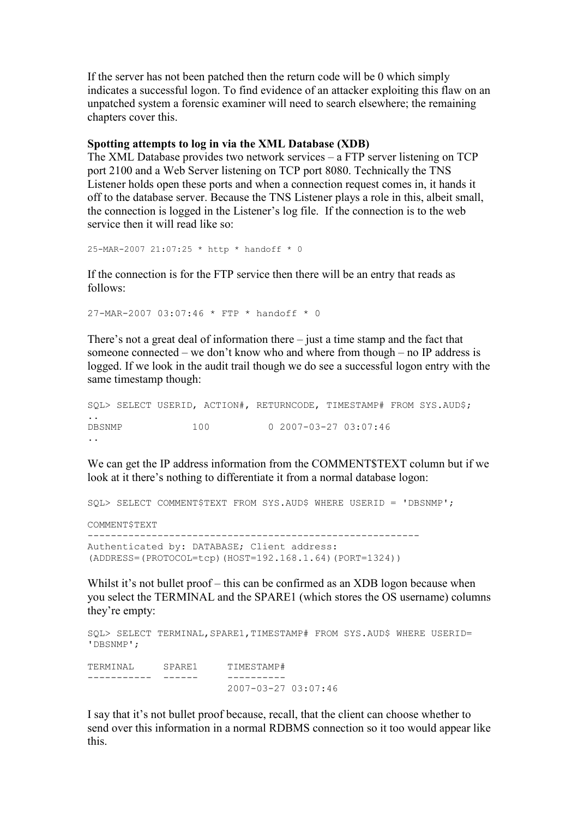If the server has not been patched then the return code will be 0 which simply indicates a successful logon. To find evidence of an attacker exploiting this flaw on an unpatched system a forensic examiner will need to search elsewhere; the remaining chapters cover this.

#### Spotting attempts to log in via the XML Database (XDB)

The XML Database provides two network services – a FTP server listening on TCP port 2100 and a Web Server listening on TCP port 8080. Technically the TNS Listener holds open these ports and when a connection request comes in, it hands it off to the database server. Because the TNS Listener plays a role in this, albeit small, the connection is logged in the Listener's log file. If the connection is to the web service then it will read like so:

25-MAR-2007 21:07:25 \* http \* handoff \* 0

If the connection is for the FTP service then there will be an entry that reads as follows:

27-MAR-2007 03:07:46 \* FTP \* handoff \* 0

There's not a great deal of information there – just a time stamp and the fact that someone connected – we don't know who and where from though – no IP address is logged. If we look in the audit trail though we do see a successful logon entry with the same timestamp though:

```
SQL> SELECT USERID, ACTION#, RETURNCODE, TIMESTAMP# FROM SYS.AUD$; 
.. 
DBSNMP 100 0 2007-03-27 03:07:46
..
```
We can get the IP address information from the COMMENT\$TEXT column but if we look at it there's nothing to differentiate it from a normal database logon:

SQL> SELECT COMMENT\$TEXT FROM SYS.AUD\$ WHERE USERID = 'DBSNMP';

COMMENT\$TEXT

--------------------------------------------------------- Authenticated by: DATABASE; Client address: (ADDRESS=(PROTOCOL=tcp)(HOST=192.168.1.64)(PORT=1324))

Whilst it's not bullet proof – this can be confirmed as an XDB logon because when you select the TERMINAL and the SPARE1 (which stores the OS username) columns they're empty:

```
SQL> SELECT TERMINAL,SPARE1,TIMESTAMP# FROM SYS.AUD$ WHERE USERID= 
'DBSNMP'; 
TERMINAL SPARE1 TIMESTAMP# 
----------- ------ ----------
                       2007-03-27 03:07:46
```
I say that it's not bullet proof because, recall, that the client can choose whether to send over this information in a normal RDBMS connection so it too would appear like this.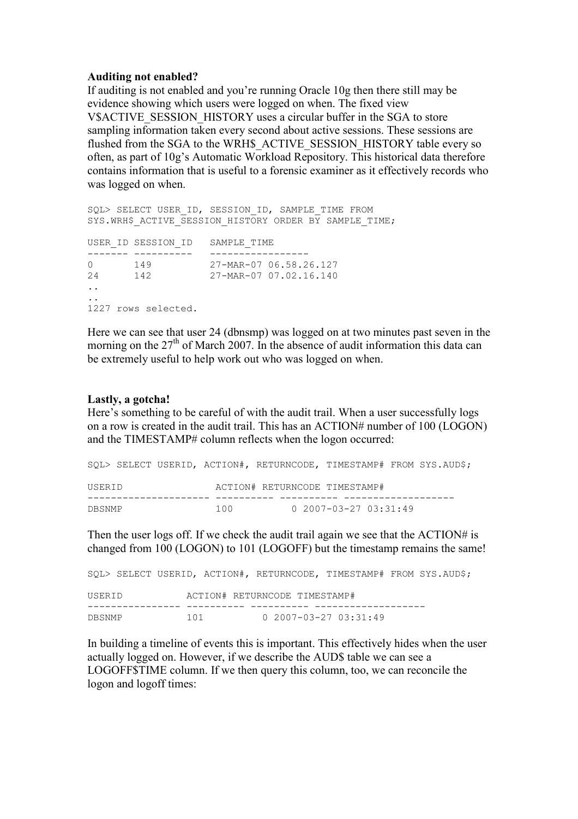## Auditing not enabled?

If auditing is not enabled and you're running Oracle 10g then there still may be evidence showing which users were logged on when. The fixed view V\$ACTIVE\_SESSION\_HISTORY\_uses a circular buffer in the SGA to store sampling information taken every second about active sessions. These sessions are flushed from the SGA to the WRH\$\_ACTIVE\_SESSION\_HISTORY table every so often, as part of 10g's Automatic Workload Repository. This historical data therefore contains information that is useful to a forensic examiner as it effectively records who was logged on when.

SOL> SELECT USER ID, SESSION ID, SAMPLE TIME FROM SYS.WRH\$ ACTIVE SESSION HISTORY ORDER BY SAMPLE TIME; USER\_ID SESSION\_ID SAMPLE\_TIME ------- ---------- ------------------0 149 27-MAR-07 06.58.26.127 24 142 27-MAR-07 07.02.16.140 .. .. 1227 rows selected.

Here we can see that user 24 (dbnsmp) was logged on at two minutes past seven in the morning on the  $27<sup>th</sup>$  of March 2007. In the absence of audit information this data can be extremely useful to help work out who was logged on when.

## Lastly, a gotcha!

Here's something to be careful of with the audit trail. When a user successfully logs on a row is created in the audit trail. This has an ACTION# number of 100 (LOGON) and the TIMESTAMP# column reflects when the logon occurred:

|        |  |       |                               |                                 | SOL> SELECT USERID, ACTION#, RETURNCODE, TIMESTAMP# FROM SYS.AUD\$; |  |
|--------|--|-------|-------------------------------|---------------------------------|---------------------------------------------------------------------|--|
| USERID |  |       | ACTION# RETURNCODE TIMESTAMP# |                                 |                                                                     |  |
|        |  |       |                               |                                 |                                                                     |  |
| DBSNMP |  | 1 N N |                               | $0.2007 - 03 - 27.03 : 31 : 49$ |                                                                     |  |

Then the user logs off. If we check the audit trail again we see that the ACTION# is changed from 100 (LOGON) to 101 (LOGOFF) but the timestamp remains the same!

|        |     |                               |                                 | SOL> SELECT USERID, ACTION#, RETURNCODE, TIMESTAMP# FROM SYS.AUD\$; |
|--------|-----|-------------------------------|---------------------------------|---------------------------------------------------------------------|
| USERID |     | ACTION# RETURNCODE TIMESTAMP# |                                 |                                                                     |
| DBSNMP | 101 |                               | $0.2007 - 03 - 27.03 : 31 : 49$ |                                                                     |

In building a timeline of events this is important. This effectively hides when the user actually logged on. However, if we describe the AUD\$ table we can see a LOGOFF\$TIME column. If we then query this column, too, we can reconcile the logon and logoff times: